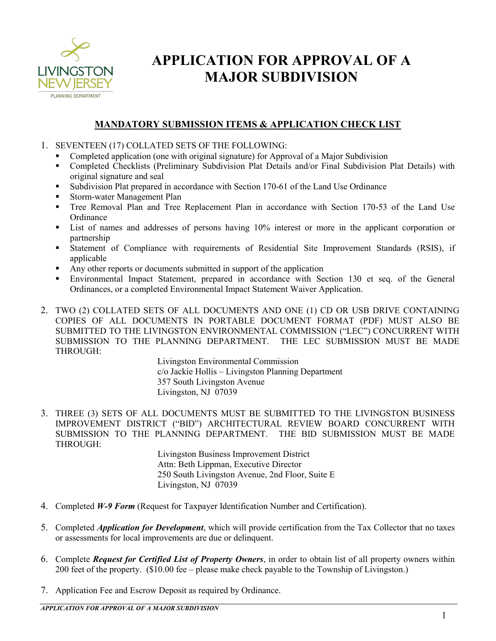

### **MANDATORY SUBMISSION ITEMS & APPLICATION CHECK LIST**

- 1. SEVENTEEN (17) COLLATED SETS OF THE FOLLOWING:
	- Completed application (one with original signature) for Approval of a Major Subdivision
	- Completed Checklists (Preliminary Subdivision Plat Details and/or Final Subdivision Plat Details) with original signature and seal
	- Subdivision Plat prepared in accordance with Section 170-61 of the Land Use Ordinance
	- Storm-water Management Plan
	- Tree Removal Plan and Tree Replacement Plan in accordance with Section 170-53 of the Land Use **Ordinance**
	- List of names and addresses of persons having 10% interest or more in the applicant corporation or partnership
	- Statement of Compliance with requirements of Residential Site Improvement Standards (RSIS), if applicable
	- Any other reports or documents submitted in support of the application
	- Environmental Impact Statement, prepared in accordance with Section 130 et seq. of the General Ordinances, or a completed Environmental Impact Statement Waiver Application.
- 2. TWO (2) COLLATED SETS OF ALL DOCUMENTS AND ONE (1) CD OR USB DRIVE CONTAINING COPIES OF ALL DOCUMENTS IN PORTABLE DOCUMENT FORMAT (PDF) MUST ALSO BE SUBMITTED TO THE LIVINGSTON ENVIRONMENTAL COMMISSION ("LEC") CONCURRENT WITH SUBMISSION TO THE PLANNING DEPARTMENT. THE LEC SUBMISSION MUST BE MADE THROUGH:

Livingston Environmental Commission c/o Jackie Hollis – Livingston Planning Department 357 South Livingston Avenue Livingston, NJ 07039

3. THREE (3) SETS OF ALL DOCUMENTS MUST BE SUBMITTED TO THE LIVINGSTON BUSINESS IMPROVEMENT DISTRICT ("BID") ARCHITECTURAL REVIEW BOARD CONCURRENT WITH SUBMISSION TO THE PLANNING DEPARTMENT. THE BID SUBMISSION MUST BE MADE THROUGH:

Livingston Business Improvement District Attn: Beth Lippman, Executive Director 250 South Livingston Avenue, 2nd Floor, Suite E Livingston, NJ 07039

- 4. Completed *W-9 Form* (Request for Taxpayer Identification Number and Certification).
- 5. Completed *Application for Development*, which will provide certification from the Tax Collector that no taxes or assessments for local improvements are due or delinquent.
- 6. Complete *Request for Certified List of Property Owners*, in order to obtain list of all property owners within 200 feet of the property. (\$10.00 fee – please make check payable to the Township of Livingston.)
- 7. Application Fee and Escrow Deposit as required by Ordinance.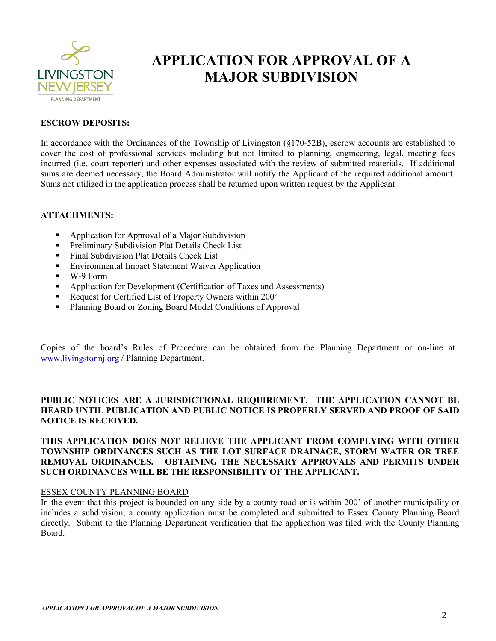

#### **ESCROW DEPOSITS:**

In accordance with the Ordinances of the Township of Livingston (§170-52B), escrow accounts are established to cover the cost of professional services including but not limited to planning, engineering, legal, meeting fees incurred (i.e. court reporter) and other expenses associated with the review of submitted materials. If additional sums are deemed necessary, the Board Administrator will notify the Applicant of the required additional amount. Sums not utilized in the application process shall be returned upon written request by the Applicant.

#### **ATTACHMENTS:**

- Application for Approval of a Major Subdivision
- **Preliminary Subdivision Plat Details Check List**
- Final Subdivision Plat Details Check List
- Environmental Impact Statement Waiver Application
- W-9 Form
- **•** Application for Development (Certification of Taxes and Assessments)
- Request for Certified List of Property Owners within 200'
- Planning Board or Zoning Board Model Conditions of Approval

Copies of the board's Rules of Procedure can be obtained from the Planning Department or on-line at www.livingstonnj.org / Planning Department.

#### **PUBLIC NOTICES ARE A JURISDICTIONAL REQUIREMENT. THE APPLICATION CANNOT BE HEARD UNTIL PUBLICATION AND PUBLIC NOTICE IS PROPERLY SERVED AND PROOF OF SAID NOTICE IS RECEIVED.**

#### **THIS APPLICATION DOES NOT RELIEVE THE APPLICANT FROM COMPLYING WITH OTHER TOWNSHIP ORDINANCES SUCH AS THE LOT SURFACE DRAINAGE, STORM WATER OR TREE REMOVAL ORDINANCES. OBTAINING THE NECESSARY APPROVALS AND PERMITS UNDER SUCH ORDINANCES WILL BE THE RESPONSIBILITY OF THE APPLICANT.**

#### ESSEX COUNTY PLANNING BOARD

In the event that this project is bounded on any side by a county road or is within 200' of another municipality or includes a subdivision, a county application must be completed and submitted to Essex County Planning Board directly. Submit to the Planning Department verification that the application was filed with the County Planning Board.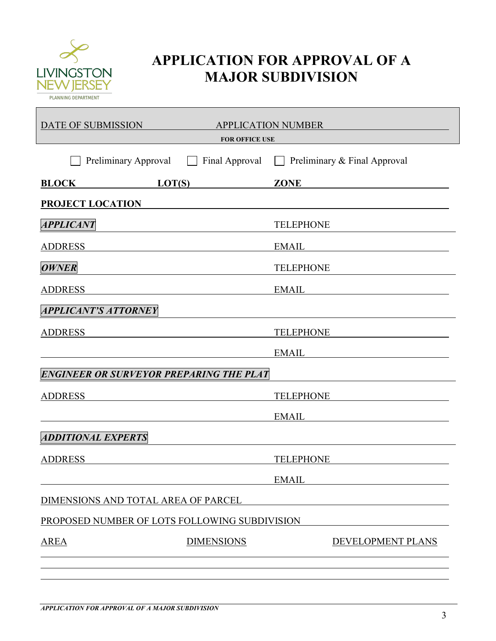

| DATE OF SUBMISSION<br><b>APPLICATION NUMBER</b><br><b>FOR OFFICE USE</b> |                   |                                                                                                                                                                                                                                |
|--------------------------------------------------------------------------|-------------------|--------------------------------------------------------------------------------------------------------------------------------------------------------------------------------------------------------------------------------|
| Preliminary Approval                                                     | Final Approval    | Preliminary & Final Approval                                                                                                                                                                                                   |
| LOT(S)<br><b>BLOCK</b>                                                   |                   | <b>ZONE</b>                                                                                                                                                                                                                    |
| <b>PROJECT LOCATION</b>                                                  |                   |                                                                                                                                                                                                                                |
| <i><b>APPLICANT</b></i>                                                  |                   | <b>TELEPHONE</b>                                                                                                                                                                                                               |
| <b>ADDRESS</b>                                                           |                   | <b>EMAIL</b>                                                                                                                                                                                                                   |
| <b>OWNER</b>                                                             |                   | <b>TELEPHONE</b>                                                                                                                                                                                                               |
| <b>ADDRESS</b>                                                           |                   | EMAIL LAND CONTROLLER STATES AND THE STATES OF THE STATES OF THE STATES OF THE STATES OF THE STATES OF THE STATES OF THE STATES OF THE STATES OF THE STATES OF THE STATES OF THE STATES OF THE STATES OF THE STATES OF THE STA |
| <b>APPLICANT'S ATTORNEY</b>                                              |                   |                                                                                                                                                                                                                                |
| <b>ADDRESS</b>                                                           |                   | <b>TELEPHONE</b>                                                                                                                                                                                                               |
|                                                                          |                   | EMAIL                                                                                                                                                                                                                          |
| ENGINEER OR SURVEYOR PREPARING THE PLAT                                  |                   |                                                                                                                                                                                                                                |
| <b>ADDRESS</b>                                                           |                   | <b>TELEPHONE</b>                                                                                                                                                                                                               |
|                                                                          |                   | EMAIL Letter and the set of the set of the set of the set of the set of the set of the set of the set of the set of the set of the set of the set of the set of the set of the set of the set of the set of the set of the set |
| <b>ADDITIONAL EXPERTS</b>                                                |                   |                                                                                                                                                                                                                                |
| <b>ADDRESS</b>                                                           |                   | <b>TELEPHONE</b>                                                                                                                                                                                                               |
|                                                                          |                   | <b>EMAIL</b>                                                                                                                                                                                                                   |
| DIMENSIONS AND TOTAL AREA OF PARCEL                                      |                   |                                                                                                                                                                                                                                |
| PROPOSED NUMBER OF LOTS FOLLOWING SUBDIVISION                            |                   |                                                                                                                                                                                                                                |
| <b>AREA</b>                                                              | <b>DIMENSIONS</b> | DEVELOPMENT PLANS                                                                                                                                                                                                              |
|                                                                          |                   |                                                                                                                                                                                                                                |